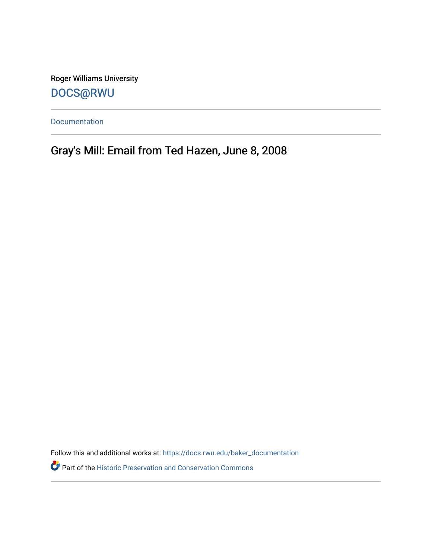Roger Williams University [DOCS@RWU](https://docs.rwu.edu/)

[Documentation](https://docs.rwu.edu/baker_documentation) 

Gray's Mill: Email from Ted Hazen, June 8, 2008

Follow this and additional works at: [https://docs.rwu.edu/baker\\_documentation](https://docs.rwu.edu/baker_documentation?utm_source=docs.rwu.edu%2Fbaker_documentation%2F60&utm_medium=PDF&utm_campaign=PDFCoverPages) 

Part of the [Historic Preservation and Conservation Commons](http://network.bepress.com/hgg/discipline/781?utm_source=docs.rwu.edu%2Fbaker_documentation%2F60&utm_medium=PDF&utm_campaign=PDFCoverPages)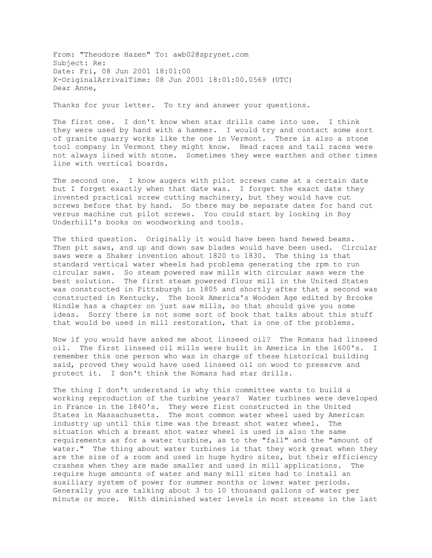From: "Theodore Hazen" To: awb02@sprynet.com Subject: Re: Date: Fri, 08 Jun 2001 18:01:00 X-OriginalArrivalTime: 08 Jun 2001 18:01:00.0569 (UTC) Dear Anne,

Thanks for your letter. To try and answer your questions.

The first one. I don't know when star drills came into use. I think they were used by hand with a hammer. I would try and contact some sort of granite quarry works like the one in Vermont. There is also a stone tool company in Vermont they might know. Head races and tail races were not always lined with stone. Sometimes they were earthen and other times line with vertical boards.

The second one. I know augers with pilot screws came at a certain date but I forget exactly when that date was. I forget the exact date they invented practical screw cutting machinery, but they would have cut screws before that by hand. So there may be separate dates for hand cut versus machine cut pilot screws. You could start by looking in Roy Underhill's books on woodworking and tools.

The third question. Originally it would have been hand hewed beams. Then pit saws, and up and down saw blades would have been used. Circular saws were a Shaker invention about 1820 to 1830. The thing is that standard vertical water wheels had problems generating the rpm to run circular saws. So steam powered saw mills with circular saws were the best solution. The first steam powered flour mill in the United States was constructed in Pittsburgh in 1805 and shortly after that a second was constructed in Kentucky. The book America's Wooden Age edited by Brooke Hindle has a chapter on just saw mills, so that should give you some ideas. Sorry there is not some sort of book that talks about this stuff that would be used in mill restoration, that is one of the problems.

Now if you would have asked me about linseed oil? The Romans had linseed oil. The first linseed oil mills were built in America in the 1600's. I remember this one person who was in charge of these historical building said, proved they would have used linseed oil on wood to preserve and protect it. I don't think the Romans had star drills.

The thing I don't understand is why this committee wants to build a working reproduction of the turbine years? Water turbines were developed in France in the 1840's. They were first constructed in the United States in Massachusetts. The most common water wheel used by American industry up until this time was the breast shot water wheel. The situation which a breast shot water wheel is used is also the same requirements as for a water turbine, as to the "fall" and the "amount of water." The thing about water turbines is that they work great when they are the size of a room and used in huge hydro sites, but their efficiency crashes when they are made smaller and used in mill applications. The require huge amounts of water and many mill sites had to install an auxiliary system of power for summer months or lower water periods. Generally you are talking about 3 to 10 thousand gallons of water per minute or more. With diminished water levels in most streams in the last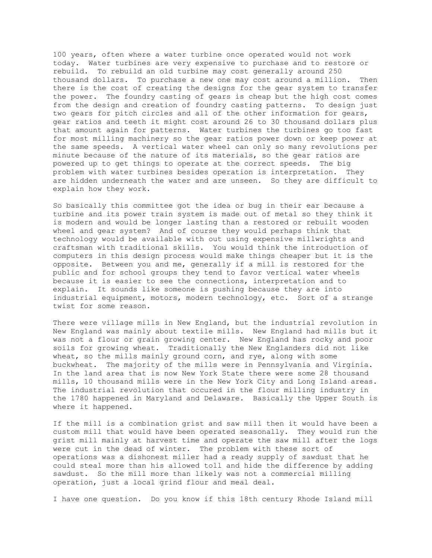100 years, often where a water turbine once operated would not work today. Water turbines are very expensive to purchase and to restore or rebuild. To rebuild an old turbine may cost generally around 250 thousand dollars. To purchase a new one may cost around a million. Then there is the cost of creating the designs for the gear system to transfer the power. The foundry casting of gears is cheap but the high cost comes from the design and creation of foundry casting patterns. To design just two gears for pitch circles and all of the other information for gears, gear ratios and teeth it might cost around 26 to 30 thousand dollars plus that amount again for patterns. Water turbines the turbines go too fast for most milling machinery so the gear ratios power down or keep power at the same speeds. A vertical water wheel can only so many revolutions per minute because of the nature of its materials, so the gear ratios are powered up to get things to operate at the correct speeds. The big problem with water turbines besides operation is interpretation. They are hidden underneath the water and are unseen. So they are difficult to explain how they work.

So basically this committee got the idea or bug in their ear because a turbine and its power train system is made out of metal so they think it is modern and would be longer lasting than a restored or rebuilt wooden wheel and gear system? And of course they would perhaps think that technology would be available with out using expensive millwrights and craftsman with traditional skills. You would think the introduction of computers in this design process would make things cheaper but it is the opposite. Between you and me, generally if a mill is restored for the public and for school groups they tend to favor vertical water wheels because it is easier to see the connections, interpretation and to explain. It sounds like someone is pushing because they are into industrial equipment, motors, modern technology, etc. Sort of a strange twist for some reason.

There were village mills in New England, but the industrial revolution in New England was mainly about textile mills. New England had mills but it was not a flour or grain growing center. New England has rocky and poor soils for growing wheat. Traditionally the New Englanders did not like wheat, so the mills mainly ground corn, and rye, along with some buckwheat. The majority of the mills were in Pennsylvania and Virginia. In the land area that is now New York State there were some 28 thousand mills, 10 thousand mills were in the New York City and Long Island areas. The industrial revolution that occured in the flour milling industry in the 1780 happened in Maryland and Delaware. Basically the Upper South is where it happened.

If the mill is a combination grist and saw mill then it would have been a custom mill that would have been operated seasonally. They would run the grist mill mainly at harvest time and operate the saw mill after the logs were cut in the dead of winter. The problem with these sort of operations was a dishonest miller had a ready supply of sawdust that he could steal more than his allowed toll and hide the difference by adding sawdust. So the mill more than likely was not a commercial milling operation, just a local grind flour and meal deal.

I have one question. Do you know if this 18th century Rhode Island mill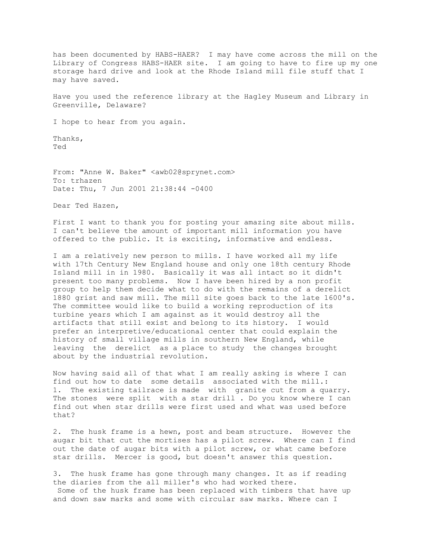has been documented by HABS-HAER? I may have come across the mill on the Library of Congress HABS-HAER site. I am going to have to fire up my one storage hard drive and look at the Rhode Island mill file stuff that I may have saved.

Have you used the reference library at the Hagley Museum and Library in Greenville, Delaware?

I hope to hear from you again.

Thanks, Ted

From: "Anne W. Baker" <awb02@sprynet.com> To: trhazen Date: Thu, 7 Jun 2001 21:38:44 -0400

Dear Ted Hazen,

First I want to thank you for posting your amazing site about mills. I can't believe the amount of important mill information you have offered to the public. It is exciting, informative and endless.

I am a relatively new person to mills. I have worked all my life with 17th Century New England house and only one 18th century Rhode Island mill in in 1980. Basically it was all intact so it didn't present too many problems. Now I have been hired by a non profit group to help them decide what to do with the remains of a derelict 1880 grist and saw mill. The mill site goes back to the late 1600's. The committee would like to build a working reproduction of its turbine years which I am against as it would destroy all the artifacts that still exist and belong to its history. I would prefer an interpretive/educational center that could explain the history of small village mills in southern New England, while leaving the derelict as a place to study the changes brought about by the industrial revolution.

Now having said all of that what I am really asking is where I can find out how to date some details associated with the mill.: 1. The existing tailrace is made with granite cut from a quarry. The stones were split with a star drill . Do you know where I can find out when star drills were first used and what was used before that?

2. The husk frame is a hewn, post and beam structure. However the augar bit that cut the mortises has a pilot screw. Where can I find out the date of augar bits with a pilot screw, or what came before star drills. Mercer is good, but doesn't answer this question.

3. The husk frame has gone through many changes. It as if reading the diaries from the all miller's who had worked there. Some of the husk frame has been replaced with timbers that have up and down saw marks and some with circular saw marks. Where can I